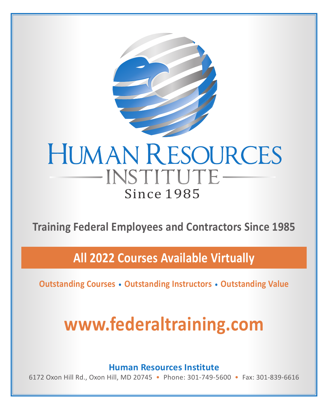

**Training Federal Employees and Contractors Since 1985**

**All 2022 Courses Available Virtually**

**Outstanding Courses • Outstanding Instructors • Outstanding Value**

# **[www.federaltraining.com](http://www.federaltraining.com)**

**Human Resources Institute**

6172 Oxon Hill Rd., Oxon Hill, MD 20745 • Phone: 301-749-5600 • Fax: 301-839-6616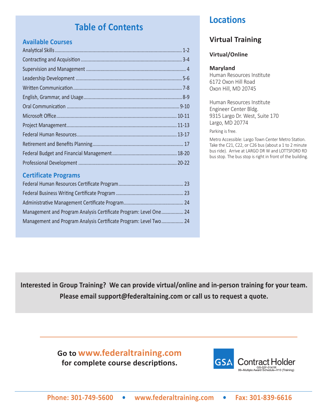## **Table of Contents**

## **Available Courses**

## **Certificate Programs**

| Management and Program Analysis Certificate Program: Level One 24 |  |
|-------------------------------------------------------------------|--|
| Management and Program Analysis Certificate Program: Level Two 24 |  |

## **Locations**

## **Virtual Training**

## **Virtual/Online**

## **Maryland**

Human Resources Institute 6172 Oxon Hill Road Oxon Hill, MD 20745

Human Resources Institute Engineer Center Bldg. 9315 Largo Dr. West, Suite 170 Largo, MD 20774

Parking is free.

Metro Accessible: Largo Town Center Metro Station. Take the C21, C22, or C26 bus (about a 1 to 2 minute bus ride). Arrive at LARGO DR W and LOTTSFORD RD bus stop. The bus stop is right in front of the building.

**Interested in Group Training? We can provide virtual/online and in-person training for your team. Please email [support@federaltaining.com](mailto:support%40federaltaining.com?subject=) or call us to request a quote.**

> **Go to [www.federaltraining.com](http://www.federaltraining.com) for complete course descriptions.**

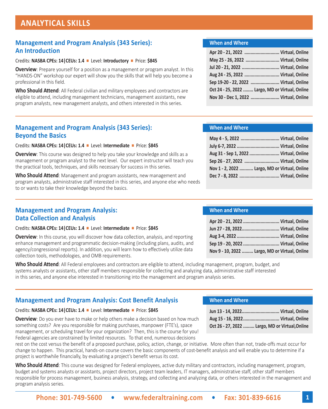## **ANALYTICAL SKILLS**

## **Management and Program Analysis (343 Series): An Introduction**

### Credits: **NASBA CPEs: 14|CEUs: 1.4** <sup>n</sup> Level: **Introductory** n Price: **\$845**

**Overview**: Prepare yourself for a position as a management or program analyst. In this "HANDS-ON" workshop our expert will show you the skills that will help you become a professional in this field.

**Who Should Attend**: All Federal civilian and military employees and contractors are eligible to attend, including management technicians, management assistants, new program analysts, new management analysts, and others interested in this series.

## **Management and Program Analysis (343 Series): Beyond the Basics**

#### Credits: **NASBA CPEs: 14|CEUs: 1.4** <sup>n</sup> Level: **Intermediate** <sup>n</sup> Price: **\$845**

**Overview**: This course was designed to help you take your knowledge and skills as a management or program analyst to the next level. Our expert instructor will teach you the practical tools, techniques, and skills necessary for success in this series.

**Who Should Attend**: Management and program assistants, new management and program analysts, administrative staff interested in this series, and anyone else who needs to or wants to take their knowledge beyond the basics.

## **Management and Program Analysis: Data Collection and Analysis**

#### Credits: NASBA CPEs: 14 | CEUs: 1.4 | Level: Intermediate | Price: \$845

**Overview**: In this course, you will discover how data collection, analysis, and reporting enhance management and programmatic decision-making (including plans, audits, and agency/congressional reports). In addition, you will learn how to effectively utilize data collection tools, methodologies, and OMB requirements.

**Who Should Attend**: All Federal employees and contractors are eligible to attend, including management, program, budget, and systems analysts or assistants, other staff members responsible for collecting and analyzing data, administrative staff interested in this series, and anyone else interested in transitioning into the management and program analysis series.

## **Management and Program Analysis: Cost Benefit Analysis**

#### Credits: NASBA CPEs: 14 | CEUs: 1.4 | Level: Intermediate | Price: \$845

**Overview**: Do you ever have to make or help others make a decision based on how much something costs? Are you responsible for making purchases, manpower (FTE's), space management, or scheduling travel for your organization? Then, this is the course for you! Federal agencies are constrained by limited resources. To that end, numerous decisions

rest on the cost versus the benefit of a proposed purchase, policy, action, change, or initiative. More often than not, trade-offs must occur for change to happen. This practical, hands-on course covers the basic components of cost-benefit analysis and will enable you to determine if a project is worthwhile financially, by evaluating a project's benefit versus its cost.

Who Should Attend: This course was designed for Federal employees, active duty military and contractors, including management, program, budget and systems analysts or assistants, project directors, project team leaders, IT managers, administrative staff, other staff members responsible for process management, business analysis, strategy, and collecting and analyzing data, or others interested in the management and program analysis series.

### **When and Where**

| Apr 20 - 21, 2022  Virtual, Online              |  |
|-------------------------------------------------|--|
| May 25 - 26, 2022  Virtual, Online              |  |
| Jul 20 - 21, 2022  Virtual, Online              |  |
| Aug 24 - 25, 2022  Virtual, Online              |  |
| Sep 19-20 - 22, 2022  Virtual, Online           |  |
| Oct 24 - 25, 2022  Largo, MD or Virtual, Online |  |
| Nov 30 - Dec 1, 2022  Virtual, Online           |  |

## **When and Where**

| May 4 - 5, 2022  Virtual, Online              |  |
|-----------------------------------------------|--|
|                                               |  |
| Aug 31 - Sep 1, 2022  Virtual, Online         |  |
| Sep 26 - 27, 2022  Virtual, Online            |  |
| Nov 1 - 2, 2022  Largo, MD or Virtual, Online |  |
|                                               |  |

## **When and Where**

**When and Where**

| Apr 20 - 21, 2022  Virtual, Online             |  |
|------------------------------------------------|--|
| Jun 27 - 28, 2022 Virtual, Online              |  |
|                                                |  |
|                                                |  |
| Nov 9 - 10, 2022  Largo, MD or Virtual, Online |  |

**Jun 13 - 14, 2022.............................. Virtual, Online Aug 15 - 16, 2022............................. Virtual, Online Oct 26 - 27, 2022 ......... Largo, MD or Virtual,Online**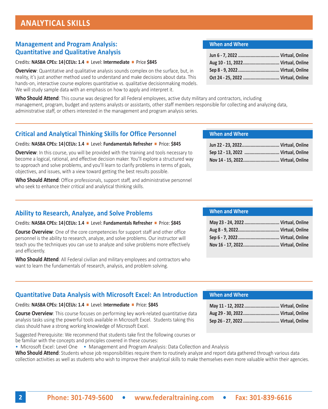## **Management and Program Analysis: Quantitative and Qualitative Analysis**

#### Credits: NASBA CPEs: 14 | CEUs: 1.4 | Level: Intermediate | Price \$845

**Overview**: Quantitative and qualitative analysis sounds complex on the surface, but, in reality, it's just another method used to understand and make decisions about data. This hands-on, interactive course explores quantitative vs. qualitative decisionmaking models. We will study sample data with an emphasis on how to apply and interpret it.

**Who Should Attend**: This course was designed for all Federal employees, active duty military and contractors, including management, program, budget and systems analysts or assistants, other staff members responsible for collecting and analyzing data, administrative staff, or others interested in the management and program analysis series.

#### **When and Where**

| Aug 10 - 11, 2022 Virtual, Online  |  |
|------------------------------------|--|
|                                    |  |
| Oct 24 - 25, 2022  Virtual, Online |  |

## **Critical and Analytical Thinking Skills for Office Personnel**

#### Credits: NASBA CPEs: 14 | CEUs: 1.4 **■** Level: **Fundamentals Refresher** ■ Price: \$845

**Overview**: In this course, you will be provided with the training and tools necessary to become a logical, rational, and effective decision maker. You'll explore a structured way to approach and solve problems, and you'll learn to clarify problems in terms of goals, objectives, and issues, with a view toward getting the best results possible.

**Who Should Attend**: Office professionals, support staff, and administrative personnel who seek to enhance their critical and analytical thinking skills.

## **Ability to Research, Analyze, and Solve Problems**

#### Credits: NASBA CPEs: 14 | CEUs: 1.4 **■** Level: **Fundamentals Refresher** ■ Price: \$845

**Course Overview**: One of the core competencies for support staff and other office personnel is the ability to research, analyze, and solve problems. Our instructor will teach you the techniques you can use to analyze and solve problems more effectively and efficiently.

**Who Should Attend**: All Federal civilian and military employees and contractors who want to learn the fundamentals of research, analysis, and problem solving.

#### **When and Where**

| Jun 22 - 23, 2022 Virtual, Online  |  |
|------------------------------------|--|
| Sep 12 - 13, 2022  Virtual, Online |  |
| Nov 14 - 15, 2022 Virtual, Online  |  |

### **When and Where**

| May 23 - 24, 2022  Virtual, Online |  |
|------------------------------------|--|
|                                    |  |
|                                    |  |
| Nov 16 - 17, 2022 Virtual, Online  |  |

## **Quantitative Data Analysis with Microsoft Excel: An Introduction**

#### Credits: NASBA CPEs: 14 | CEUs: 1.4 | Level: Intermediate | Price: \$845

**Course Overview**: This course focuses on performing key work-related quantitative data analysis tasks using the powerful tools available in Microsoft Excel. Students taking this class should have a strong working knowledge of Microsoft Excel.

Suggested Prerequisite: We recommend that students take first the following courses or be familiar with the concepts and principles covered in these courses:

• Microsoft Excel: Level One • Management and Program Analysis: Data Collection and Analysis

**Who Should Attend**: Students whose job responsibilities require them to routinely analyze and report data gathered through various data collection activities as well as students who wish to improve their analytical skills to make themselves even more valuable within their agencies.

| May 11 - 12, 2022  Virtual, Online |  |
|------------------------------------|--|
| Aug 29 - 30, 2022 Virtual, Online  |  |
| Sep 26 - 27, 2022  Virtual, Online |  |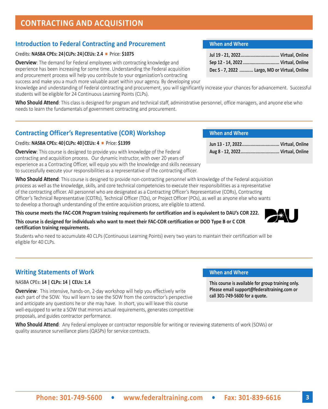## **CONTRACTING AND ACQUISITION**

## **Introduction to Federal Contracting and Procurement**

## Credits: **NASBA CPEs: 24|CLPs: 24|CEUs: 2.4** n Price: **\$1075**

**Overview**: The demand for Federal employees with contracting knowledge and experience has been increasing for some time. Understanding the Federal acquisition and procurement process will help you contribute to your organization's contracting success and make you a much more valuable asset within your agency. By developing your

knowledge and understanding of Federal contracting and procurement, you will significantly increase your chances for advancement. Successful students will be eligible for 24 Continuous Learning Points (CLPs).

**Who Should Attend**: This class is designed for program and technical staff, administrative personnel, office managers, and anyone else who needs to learn the fundamentals of government contracting and procurement.

## **Contracting Officer's Representative (COR) Workshop**

## Credits: **NASBA CPEs: 40|CLPs: 40|CEUs: 4** n Price: **\$1399**

**Overview**: This course is designed to provide you with knowledge of the Federal contracting and acquisition process. Our dynamic instructor, with over 20 years of experience as a Contracting Officer, will equip you with the knowledge and skills necessary to successfully execute your responsibilities as a representative of the contracting officer.

**Who Should Attend**: This course is designed to provide non-contracting personnel with knowledge of the Federal acquisition process as well as the knowledge, skills, and core technical competencies to execute their responsibilities as a representative of the contracting officer. All personnel who are designated as a Contracting Officer's Representative (CORs), Contracting Officer's Technical Representative (COTRs), Technical Officer (TOs), or Project Officer (POs), as well as anyone else who wants to develop a thorough understanding of the entire acquisition process, are eligible to attend.

**This course meets the FAC-COR Program training requirements for certification and is equivalent to DAU's COR 222.** 

**This course is designed for individuals who want to meet their FAC-COR certification or DOD Type B or C COR certification training requirements.**

Students who need to accumulate 40 CLPs (Continuous Learning Points) every two years to maintain their certification will be eligible for 40 CLPs.

## **Writing Statements of Work When and When and When and Where**

## NASBA CPEs: **14 | CLPs: 14 | CEUs: 1.4**

**Overview**: This intensive, hands-on, 2-day workshop will help you effectively write each part of the SOW. You will learn to see the SOW from the contractor's perspective and anticipate any questions he or she may have. In short, you will leave this course well-equipped to write a SOW that mirrors actual requirements, generates competitive proposals, and guides contractor performance.

**Who Should Attend**: Any Federal employee or contractor responsible for writing or reviewing statements of work (SOWs) or quality assurance surveillance plans (QASPs) for service contracts.

## **When and Where**

| Sep 12 - 14, 2022  Virtual, Online            |  |
|-----------------------------------------------|--|
| Dec 5 - 7, 2022  Largo, MD or Virtual, Online |  |

## **When and Where**

| Jun 13 - 17, 2022 Virtual, Online |  |
|-----------------------------------|--|
|                                   |  |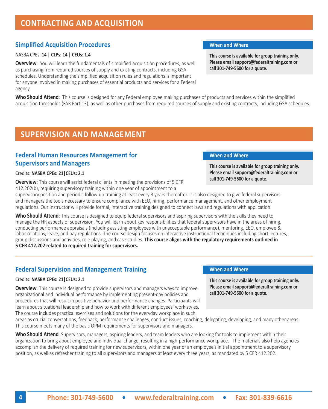## **CONTRACTING AND ACQUISITION**

## **Simplified Acquisition Procedures When and Where When and Where**

### NASBA CPEs: **14 | CLPs: 14 | CEUs: 1.4**

**Overview**: You will learn the fundamentals of simplified acquisition procedures, as well as purchasing from required sources of supply and existing contracts, including GSA schedules. Understanding the simplified acquisition rules and regulations is important for anyone involved in making purchases of essential products and services for a Federal agency.

**Who Should Attend**: This course is designed for any Federal employee making purchases of products and services within the simplified acquisition thresholds (FAR Part 13), as well as other purchases from required sources of supply and existing contracts, including GSA schedules.

## **SUPERVISION AND MANAGEMENT**

## **Federal Human Resources Management for The Constant Constant Constant Constant Constant Constant Constant Constant Constant Constant Constant Constant Constant Constant Constant Constant Constant Constant Constant Constan Supervisors and Managers**

### Credits: **NASBA CPEs: 21|CEUs: 2.1**

**Overview**: This course will assist federal clients in meeting the provisions of 5 CFR 412.202(b), requiring supervisory training within one year of appointment to a

supervisory position and periodic follow-up training at least every 3 years thereafter. It is also designed to give federal supervisors and managers the tools necessary to ensure compliance with EEO, hiring, performance management, and other employment regulations. Our instructor will provide formal, interactive training designed to connect laws and regulations with application.

**Who Should Attend**: This course is designed to equip federal supervisors and aspiring supervisors with the skills they need to manage the HR aspects of supervision. You will learn about key responsibilities that federal supervisors have in the areas of hiring, conducting performance appraisals (including assisting employees with unacceptable performance), mentoring, EEO, employee & labor relations, leave, and pay regulations. The course design focuses on interactive instructional techniques including short lectures, group discussions and activities, role playing, and case studies. **This course aligns with the regulatory requirements outlined in 5 CFR 412.202 related to required training for supervisors.**

## **Federal Supervision and Management Training**

### Credits: **NASBA CPEs: 21|CEUs: 2.1**

**Overview**: This course is designed to provide supervisors and managers ways to improve organizational and individual performance by implementing present-day policies and procedures that will result in positive behavior and performance changes. Participants will learn about situational leadership and how to work with different employees' work styles. The course includes practical exercises and solutions for the everyday workplace in such

areas as crucial conversations, feedback, performance challenges, conduct issues, coaching, delegating, developing, and many other areas. This course meets many of the basic OPM requirements for supervisors and managers.

**Who Should Attend**: Supervisors, managers, aspiring leaders, and team leaders who are looking for tools to implement within their organization to bring about employee and individual change, resulting in a high-performance workplace. The materials also help agencies accomplish the delivery of required training for new supervisors, within one year of an employee's initial appointment to a supervisory position, as well as refresher training to all supervisors and managers at least every three years, as mandated by 5 CFR 412.202.

**This course is available for group training only. Please email support@federaltraining.com or call 301-749-5600 for a quote.**

**This course is available for group training only. Please email support@federaltraining.com or call 301-749-5600 for a quote.**

### **When and Where**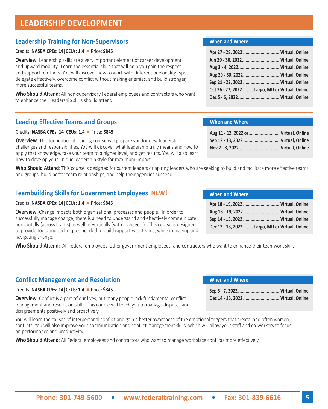## **LEADERSHIP DEVELOPMENT**

## **Leadership Training for Non-Supervisors**

### Credits: **NASBA CPEs: 14|CEUs: 1.4** n Price: **\$845**

**Overview**: Leadership skills are a very important element of career development and upward mobility. Learn the essential skills that will help you gain the respect and support of others. You will discover how to work with different personality types, delegate effectively, overcome conflict without making enemies, and build stronger, more successful teams.

**Who Should Attend**: All non-supervisory Federal employees and contractors who want to enhance their leadership skills should attend.

## **Leading Effective Teams and Groups**

#### Credits: **NASBA CPEs: 14|CEUs: 1.4** n Price: **\$845**

**Overview**: This foundational training course will prepare you for new leadership challenges and responsibilities. You will discover what leadership truly means and how to apply that knowledge, take your team to a higher level, and get results. You will also learn how to develop your unique leadership style for maximum impact.

**Who Should Attend**: This course is designed for current leaders or apiring leaders who are seeking to build and facilitate more effective teams and groups, build better team relationships, and help their agencies succeed.

## **Teambuilding Skills for Government Employees NEW!**

#### Credits: **NASBA CPEs: 14|CEUs: 1.4** n Price: **\$845**

**Overview**: Change impacts both organizational processes and people. In order to successfully manage change, there is a need to understand and effectively communicate horizontally (across teams) as well as vertically (with managers). This course is designed to provide tools and techniques needed to build rapport with teams, while managing and navigating change.

**Who Should Attend**: All Federal employees, other government employees, and contractors who want to enhance their teamwork skills.

## **Conflict Management and Resolution**

#### Credits: **NASBA CPEs: 14 | CEUs: 1.4 | Price: \$845**

**Overview**: Conflict is a part of our lives, but many people lack fundamental conflict management and resolution skills. This course will teach you to manage disputes and disagreements positively and proactively.

| <b>When and Where</b>              |  |
|------------------------------------|--|
|                                    |  |
| Dec 14 - 15, 2022  Virtual, Online |  |

You will learn the causes of interpersonal conflict and gain a better awareness of the emotional triggers that create, and often worsen, conflicts. You will also improve your communication and conflict management skills, which will allow your staff and co-workers to focus on performance and productivity.

**Who Should Attend**: All Federal employees and contractors who want to manage workplace conflicts more effectively.

## **When and Where**

| Apr 27 - 28, 2022  Virtual, Online              |  |
|-------------------------------------------------|--|
| Jun 29 - 30, 2022 Virtual, Online               |  |
|                                                 |  |
| Aug 29 - 30, 2022 Virtual, Online               |  |
|                                                 |  |
| Oct 26 - 27, 2022  Largo, MD or Virtual, Online |  |
|                                                 |  |

### **When and Where**

| Aug 11 - 12, 2022 or  Virtual, Online |  |
|---------------------------------------|--|
| Sep 12 - 13, 2022  Virtual, Online    |  |
|                                       |  |

| Apr 18 - 19, 2022  Virtual, Online              |
|-------------------------------------------------|
| Aug 18 - 19, 2022 Virtual, Online               |
| Sep 14 - 15, 2022  Virtual, Online              |
| Dec 12 - 13, 2022  Largo, MD or Virtual, Online |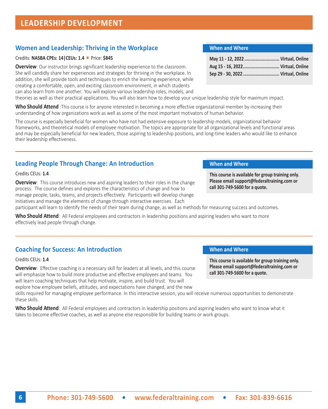## **LEADERSHIP DEVELOPMENT**

## **Women and Leadership: Thriving in the Workplace**

## Credits: **NASBA CPEs: 14|CEUs: 1.4** n Price: **\$845**

**Overview**: Our instructor brings significant leadership experience to the classroom. She will candidly share her experiences and strategies for thriving in the workplace. In addition, she will provide tools and techniques to enrich the learning experience, while creating a comfortable, open, and exciting classroom environment, in which students can also learn from one another. You will explore various leadership roles, models, and

theories as well as their practical applications. You will also learn how to develop your unique leadership style for maximum impact.

**Who Should Attend** :This course is for anyone interested in becoming a more effective organizational member by increasing their understanding of how organizations work as well as some of the most important motivators of human behavior.

The course is especially beneficial for women who have not had extensive exposure to leadership models, organizational behavior frameworks, and theoretical models of employee motivation. The topics are appropriate for all organizational levels and functional areas and may be especially beneficial for new leaders, those aspiring to leadership positions, and long-time leaders who would like to enhance their leadership effectiveness.

## **Leading People Through Change: An Introduction <b>When and Where**

Credits CEUs: **1.4**

**Overview**: This course introduces new and aspiring leaders to their roles in the change process. The course defines and explores the characteristics of change and how to manage people, tasks, teams, and projects effectively. Participants will develop change initiatives and manage the elements of change through interactive exercises. Each

participant will learn to identify the needs of their team during change, as well as methods for measuring success and outcomes.

**Who Should Attend**: All Federal employees and contractors in leadership positions and aspiring leaders who want to more effectively lead people through change.

## **Coaching for Success: An Introduction When and When and Where**

Credits CEUs: **1.4**

**Overview**: Effective coaching is a necessary skill for leaders at all levels, and this course will emphasize how to build more productive and effective employees and teams. You will learn coaching techniques that help motivate, inspire, and build trust. You will explore how employee beliefs, attitudes, and expectations have changed, and the new

skills required for managing employee performance. In this interactive session, you will receive numerous opportunities to demonstrate these skills.

**Who Should Attend**: All Federal employees and contractors in leadership positions and aspiring leaders who want to know what it takes to become effective coaches, as well as anyone else responsible for building teams or work groups.

## **When and Where**

| May 11 - 12, 2022  Virtual, Online |  |
|------------------------------------|--|
| Aug 15 - 16, 2022 Virtual, Online  |  |
| Sep 29 - 30, 2022  Virtual, Online |  |

**This course is available for group training only. Please email support@federaltraining.com or call 301-749-5600 for a quote.**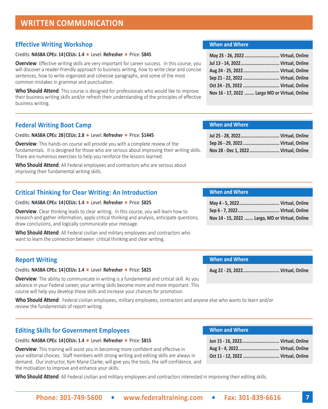## **Effective Writing Workshop**

#### Credits: **NASBA CPEs: 14|CEUs: 1.4** n Level: **Refresher** n Price: **\$845**

**Overview**: Effective writing skills are very important for career success. In this course, you will discover a reader-friendly approach to business writing, how to write clear and concise sentences, how to write organized and cohesive paragraphs, and some of the most common mistakes in grammar and punctuation.

**Who Should Attend**: This course is designed for professionals who would like to improve their business writing skills and/or refresh their understanding of the principles of effective business writing.

## **Federal Writing Boot Camp**

#### Credits: **NASBA CPEs: 28|CEUs: 2.8** n Level: **Refresher** n Price: **\$1445**

**Overview**: This hands-on course will provide you with a complete review of the fundamentals. It is designed for those who are serious about improving their writing skills. There are numerous exercises to help you reinforce the lessons learned.

**Who Should Attend**: All Federal employees and contractors who are serious about improving their fundamental writing skills.

## **Critical Thinking for Clear Writing: An Introduction**

#### Credits: **NASBA CPEs: 14|CEUs: 1.4** n Level: **Refresher** n Price: **\$825**

**Overview**: Clear thinking leads to clear writing. In this course, you will learn how to research and gather information, apply critical thinking and analysis, anticipate questions, draw conclusions, and logically communicate your message.

**Who Should Attend**: All Federal civilian and military employees and contractors who want to learn the connection between critical thinking and clear writing.

## **Report Writing**

## Credits: **NASBA CPEs: 14|CEUs: 1.4** n Level: **Refresher** n Price: **\$825**

**Overview**: The ability to communicate in writing is a fundamental and critical skill. As you advance in your Federal career, your writing skills become more and more important. This course will help you develop these skills and increase your chances for promotion.

**Who Should Attend**: Federal civilian employees, military employees, contractors and anyone else who wants to learn and/or review the fundamentals of report writing.

## **Editing Skills for Government Employees**

## Credits: **NASBA CPEs: 14|CEUs: 1.4** n Level: **Refresher** n Price: **\$815**

**Overview**: This training will assist you in becoming more confident and effective in your editorial choices. Staff members with strong writing and editing skills are always in demand. Our instructor, Kym Marie Clarke, will give you the tools, the self-confidence, and the motivation to improve and enhance your skills.

**Who Should Attend**: All Federal civilian and military employees and contractors interested in improving their editing skills.

## **When and Where**

| May 25 - 26, 2022  Virtual, Online             |  |
|------------------------------------------------|--|
| Jul 13 - 14, 2022 Virtual, Online              |  |
| Aug 24 - 25, 2022 Virtual, Online              |  |
|                                                |  |
| Oct 24 - 25, 2022  Virtual, Online             |  |
| Nov 16 - 17, 2022  Largo MD or Virtual, Online |  |

## **When and Where**

| Sep 26 - 29, 2022  Virtual, Online   |  |
|--------------------------------------|--|
| Nov 28 - Dec 1, 2022 Virtual, Online |  |

## **When and Where**

| Nov 14 - 15, 2022  Largo, MD or Virtual, Online |
|-------------------------------------------------|

## **When and Where**

**Aug 22 - 23, 2022............................. Virtual, Online**

| Jun 15 - 16, 2022 Virtual, Online  |  |
|------------------------------------|--|
|                                    |  |
| Oct 11 - 12, 2022  Virtual, Online |  |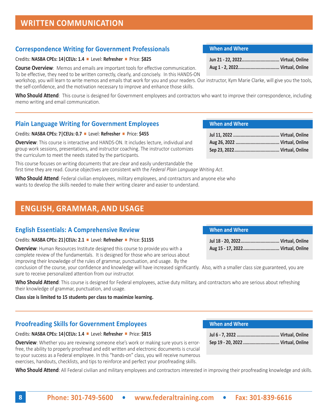## **Correspondence Writing for Government Professionals**

## Credits: **NASBA CPEs: 14|CEUs: 1.4** n Level: **Refresher** n Price: **\$825**

**Course Overview**: Memos and emails are important tools for effective communication. To be effective, they need to be written correctly, clearly, and concisely. In this HANDS-ON

workshop, you will learn to write memos and emails that work for you and your readers. Our instructor, Kym Marie Clarke, will give you the tools, the self-confidence, and the motivation necessary to improve and enhance those skills.

**Who Should Attend**: This course is designed for Government employees and contractors who want to improve their correspondence, including memo writing and email communication.

## **Plain Language Writing for Government Employees**

## Credits: **NASBA CPEs: 7|CEUs: 0.7** n Level: **Refresher** n Price: **\$455**

**Overview**: This course is interactive and HANDS-ON. It includes lecture, individual and group work sessions, presentations, and instructor coaching. The instructor customizes the curriculum to meet the needs stated by the participants.

This course focuses on writing documents that are clear and easily understandable the first time they are read. Course objectives are consistent with the *Federal Plain Language Writing Act*.

**Who Should Attend**: Federal civilian employees, military employees, and contractors and anyone else who wants to develop the skills needed to make their writing clearer and easier to understand.

## **ENGLISH, GRAMMAR, AND USAGE**

## **English Essentials: A Comprehensive Review**

## Credits: **NASBA CPEs: 21|CEUs: 2.1** n Level: **Refresher** n Price: **\$1155**

**Overview**: Human Resources Institute designed this course to provide you with a complete review of the fundamentals. It is designed for those who are serious about improving their knowledge of the rules of grammar, punctuation, and usage. By the

conclusion of the course, your confidence and knowledge will have increased significantly. Also, with a smaller class size guaranteed, you are sure to receive personalized attention from our instructor.

Who Should Attend: This course is designed for Federal employees, active duty military, and contractors who are serious about refreshing their knowledge of grammar, punctuation, and usage.

**Class size is limited to 15 students per class to maximize learning.**

## **Proofreading Skills for Government Employees**

## Credits: **NASBA CPEs: 14|CEUs: 1.4** n Level: **Refresher** n Price: **\$815**

**Overview**: Whether you are reviewing someone else's work or making sure yours is errorfree, the ability to properly proofread and edit written and electronic documents is crucial to your success as a Federal employee. In this "hands-on" class, you will receive numerous exercises, handouts, checklists, and tips to reinforce and perfect your proofreading skills.

**Who Should Attend**: All Federal civilian and military employees and contractors interested in improving their proofreading knowledge and skills.

## **When and Where**

## **When and Where**

## **When and Where**

| Aug 15 - 17, 2022 Virtual, Online |  |
|-----------------------------------|--|

## **8 Phone: 301-749-5600 • [www.federaltraining.com](http://www.federaltraining.com) • Fax: 301-839-6616**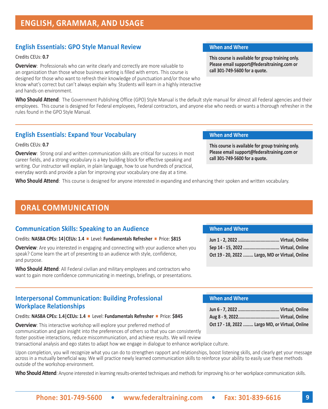## **ENGLISH, GRAMMAR, AND USAGE**

## **English Essentials: GPO Style Manual Review <b>When And When and Where**

Credits CEUs: **0.7**

**Overview**: Professionals who can write clearly and correctly are more valuable to an organization than those whose business writing is filled with errors. This course is designed for those who want to refresh their knowledge of punctuation and/or those who know what's correct but can't always explain why. Students will learn in a highly interactive and hands-on environment.

**Who Should Attend**: The Government Publishing Office (GPO) Style Manual is the default style manual for almost all Federal agencies and their employees. This course is designed for Federal employees, Federal contractors, and anyone else who needs or wants a thorough refresher in the rules found in the GPO Style Manual.

## **English Essentials: Expand Your Vocabulary <b>When and When and Where**

#### Credits CEUs: **0.7**

**Overview**: Strong oral and written communication skills are critical for success in most career fields, and a strong vocabulary is a key building block for effective speaking and writing. Our instructor will explain, in plain language, how to use hundreds of practical, everyday words and provide a plan for improving your vocabulary one day at a time.

**This course is available for group training only. Please email support@federaltraining.com or call 301-749-5600 for a quote.**

**This course is available for group training only. Please email support@federaltraining.com or call 301-749-5600 for a quote.**

**Who Should Attend**: This course is designed for anyone interested in expanding and enhancing their spoken and written vocabulary.

## **ORAL COMMUNICATION**

## **Communication Skills: Speaking to an Audience**

#### Credits: **NASBA CPEs: 14|CEUs: 1.4** n Level: **Fundamentals Refresher** n Price: **\$815**

**Overview**: Are you interested in engaging and connecting with your audience when you speak? Come learn the art of presenting to an audience with style, confidence, and purpose.

**Who Should Attend**: All Federal civilian and military employees and contractors who want to gain more confidence communicating in meetings, briefings, or presentations.

## **Interpersonal Communication: Building Professional Workplace Relationships**

#### Credits: NASBA CPEs: 1.4 | CEUs: 1.4 **n** Level: **Fundamentals Refresher ■** Price: \$845

**Overview**: This interactive workshop will explore your preferred method of communication and gain insight into the preferences of others so that you can consistently foster positive interactions, reduce miscommunication, and achieve results. We will review transactional analysis and ego states to adapt how we engage in dialogue to enhance workplace culture.

Upon completion, you will recognize what you can do to strengthen rapport and relationships, boost listening skills, and clearly get your message across in a mutually beneficial way. We will practice newly learned communication skills to reinforce your ability to easily use these methods outside of the workshop environment.

**Who Should Attend**: Anyone interested in learning results-oriented techniques and methods for improving his or her workplace communication skills.

#### **When and Where**

| Sep 14 - 15, 2022  Virtual, Online              |  |
|-------------------------------------------------|--|
| Oct 19 - 20, 2022  Largo, MD or Virtual, Online |  |

| Oct 17 - 18, 2022  Largo MD, or Virtual, Online |  |
|-------------------------------------------------|--|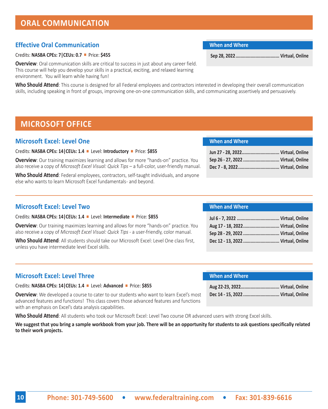## **ORAL COMMUNICATION**

## **Effective Oral Communication**

## Credits: **NASBA CPEs: 7|CEUs: 0.7** n Price: **\$455**

**Overview**: Oral communication skills are critical to success in just about any career field. This course will help you develop your skills in a practical, exciting, and relaxed learning environment. You will learn while having fun!

**Who Should Attend**: This course is designed for all Federal employees and contractors interested in developing their overall communication skills, including speaking in front of groups, improving one-on-one communication skills, and communicating assertively and persuasively.

## **MICROSOFT OFFICE**

## **Microsoft Excel: Level One**

## Credits: **NASBA CPEs: 14|CEUs: 1.4** n Level: **Introductory** n Price: **\$855**

**Overview**: Our training maximizes learning and allows for more "hands-on" practice. You also receive a copy of *Microsoft Excel Visual: Quick Tips* – a full-color, user-friendly manual.

**Who Should Attend**: Federal employees, contractors, self-taught individuals, and anyone else who wants to learn Microsoft Excel fundamentals- and beyond.

## **Microsoft Excel: Level Two**

Credits: **NASBA CPEs: 14|CEUs: 1.4** n Level: **Intermediate** n Price: **\$855**

**Overview**: Our training maximizes learning and allows for more "hands-on" practice. You also receive a copy of *Microsoft Excel Visual: Quick Tips* - a user-friendly, color manual.

**Who Should Attend**: All students should take our Microsoft Excel: Level One class first, unless you have intermediate level Excel skills.

## **When and Where**

| Aug 17 - 18, 2022 Virtual, Online  |  |
|------------------------------------|--|
| Sep 28 - 29, 2022  Virtual, Online |  |
| Dec 12 - 13, 2022  Virtual, Online |  |

## **Microsoft Excel: Level Three**

Credits: **NASBA CPEs: 14|CEUs: 1.4** n Level: **Advanced** n Price: **\$855**

**Overview**: We developed a course to cater to our students who want to learn Excel's most advanced features and functions! This class covers those advanced features and functions with an emphasis on Excel's data analysis capabilities.

**Who Should Attend**: All students who took our Microsoft Excel: Level Two course OR advanced users with strong Excel skills.

**We suggest that you bring a sample workbook from your job. There will be an opportunity for students to ask questions specifically related to their work projects.**

## **When and Where**

| Jun 27 - 28, 2022 Virtual, Online  |  |
|------------------------------------|--|
| Sep 26 - 27, 2022  Virtual, Online |  |
|                                    |  |

## **When and Where**

| Dec 14 - 15, 2022  Virtual, Online |  |
|------------------------------------|--|

**When and Where**

 **Sep 28, 2022................................... Virtual, Online**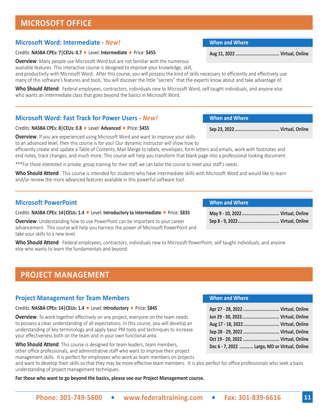## **MICROSOFT OFFICE**

## **Microsoft Word: Intermediate -** *New!*

## Credits: **NASBA CPEs: 7|CEUs: 0.7** n Level: **Intermediate** n Price: **\$455**

**Overview**: Many people use Microsoft Word but are not familiar with the numerous

available features. This interactive course is designed to improve your knowledge, skill,

and productivity with Microsoft Word. After this course, you will possess the kind of skills necessary to efficiently and effectively use many of this software's features and tools. You will discover the little "secrets" that the experts know about and take advantage of.

**Who Should Attend**: Federal employees, contractors, individuals new to Microsoft Word, self taught individuals, and anyone else who wants an intermediate class that goes beyond the basics in Microsoft Word.

## **Microsoft Word: Fast Track for Power Users -** *New!*

## Credits: **NASBA CPEs: 8|CEUs: 0.8** n Level: **Advanced** n Price: **\$455**

**Overview**: If you are experienced using Microsoft Word and want to improve your skills to an advanced level, then this course is for you! Our dynamic instructor will show how to

efficiently create and update a Table of Contents, Mail Merge to labels, envelopes, form letters and emails, work with footnotes and end notes, track changes, and much more. This course will help you transform that blank page into a professional looking document.

\*\*\*For those interested in private, group training for their staff, we can tailor the course to meet your staff's needs.

**Who Should Attend**: This course is intended for students who have intermediate skills with Microsoft Word and would like to learn and/or review the more advanced features available in this powerful software tool.

## **Microsoft PowerPoint**

Credits: **NASBA CPEs: 14|CEUs: 1.4** n Level: **Introductory to Intermediate** n Price: **\$835**

**Overview**: Understanding how to use PowerPoint can be important to your career advancement. This course will help you harness the power of Microsoft PowerPoint and take your skills to a new level.

**Who Should Attend**: Federal employees, contractors, individuals new to Microsoft PowerPoint, self taught individuals, and anyone else who wants to learn the fundamentals and beyond.

## **PROJECT MANAGEMENT**

## **Project Management for Team Members**

## Credits: **NASBA CPEs: 14|CEUs: 1.4** n Level: **Introductory** n Price: **\$845**

**Overview**: To work together effectively on any project, everyone on the team needs to possess a clear understanding of all expectations. In this course, you will develop an understanding of key terminology and apply basic PM tools and techniques to increase your effectiveness both on the team and in your own functional area.

**Who Should Attend**: This course is designed for team leaders, team members, other office professionals, and administrative staff who want to improve their project management skills. It is perfect for employees who work as team members on projects

and want to develop their skills so that they may be more effective team members. It is also perfect for office professionals who seek a basic understanding of project management techniques.

**For those who want to go beyond the basics, please see our Project Management course.**

## **When and Where**

| Apr 27 - 28, 2022  Virtual, Online            |  |
|-----------------------------------------------|--|
| Jun 29 - 30, 2022 Virtual, Online             |  |
| Aug 17 - 18, 2022 Virtual, Online             |  |
| Sep 28 - 29, 2022  Virtual, Online            |  |
|                                               |  |
| Dec 6 - 7, 2022  Largo, MD or Virtual, Online |  |

## **May 9 - 10, 2022.............................. Virtual, Online Sep 8 - 9, 2022................................. Virtual, Online**

**When and Where**

**When and Where**

**When and Where**

**Aug 11, 2022 ................................... Virtual, Online**

**Sep 23, 2022.................................... Virtual, Online**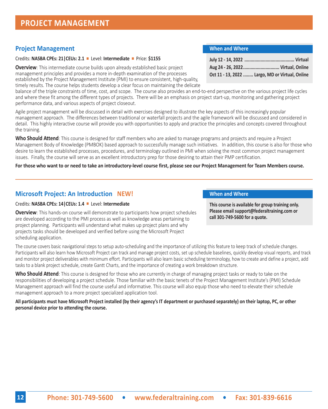## **PROJECT MANAGEMENT**

## **Project Management**

### Credits: **NASBA CPEs: 21|CEUs: 2.1** n Level: **Intermediate** n Price: **\$1155**

**Overview**: This intermediate course builds upon already established basic project management principles and provides a more in-depth examination of the processes established by the Project Management Institute (PMI) to ensure consistent, high-quality, timely results. The course helps students develop a clear focus on maintaining the delicate

balance of the triple constraints of time, cost, and scope. The course also provides an end-to-end perspective on the various project life cycles and where these fit among the different types of projects. There will be an emphasis on project start-up, monitoring and gathering project performance data, and various aspects of project closeout.

Agile project management will be discussed in detail with exercises designed to illustrate the key aspects of this increasingly popular management approach. The differences between traditional or waterfall projects and the agile framework will be discussed and considered in detail. This highly interactive course will provide you with opportunities to apply and practice the principles and concepts covered throughout the training.

**Who Should Attend**: This course is designed for staff members who are asked to manage programs and projects and require a Project Management Body of Knowledge (PMBOK) based approach to successfully manage such initiatives. In addition, this course is also for those who desire to learn the established processes, procedures, and terminology outlined in PMI when solving the most common project management issues. Finally, the course will serve as an excellent introductory prep for those desiring to attain their PMP certification.

### **For those who want to or need to take an introductory-level course first, please see our Project Management for Team Members course.**

## **Microsoft Project: An Introduction NEW!**

## Credits: **NASBA CPEs: 14|CEUs: 1.4** n Level: **Intermediate**

**Overview**: This hands-on course will demonstrate to participants how project schedules are developed according to the PMI process as well as knowledge areas pertaining to project planning. Participants will understand what makes up project plans and why projects tasks should be developed and verified before using the Microsoft Project scheduling application.

## **When and Where**

| Aug 24 - 26, 2022 Virtual, Online               |  |
|-------------------------------------------------|--|
| Oct 11 - 13, 2022  Largo, MD or Virtual, Online |  |

## **When and Where**

**This course is available for group training only. Please email support@federaltraining.com or call 301-749-5600 for a quote.**

The course covers basic navigational steps to setup auto-scheduling and the importance of utilizing this feature to keep track of schedule changes. Participants will also learn how Microsoft Project can track and manage project costs, set up schedule baselines, quickly develop visual reports, and track and monitor project deliverables with minimum effort. Participants will also learn basic scheduling terminology, how to create and define a project, add tasks to a blank project schedule, create Gantt Charts, and the importance of creating a work breakdown structure.

**Who Should Attend**: This course is designed for those who are currently in charge of managing project tasks or ready to take on the responsibilities of developing a project schedule. Those familiar with the basic tenets of the Project Management Institute's (PMI) Schedule Management approach will find the course useful and informative. This course will also equip those who need to elevate their schedule management approach to a more project specialized application tool.

**All participants must have Microsoft Project installed (by their agency's IT department or purchased separately) on their laptop, PC, or other personal device prior to attending the course.**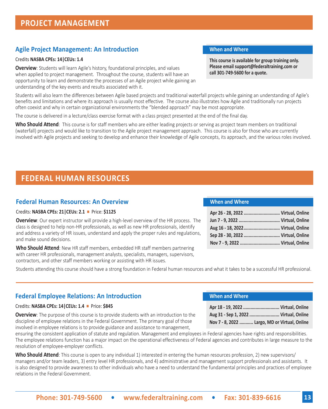## **Agile Project Management: An Introduction <b>When and Where When and Where**

### Credits **NASBA CPEs: 14|CEUs: 1.4**

**Overview**: Students will learn Agile's history, foundational principles, and values when applied to project management. Throughout the course, students will have an opportunity to learn and demonstrate the processes of an Agile project while gaining an understanding of the key events and results associated with it.

Students will also learn the differences between Agile based projects and traditional waterfall projects while gaining an understanding of Agile's benefits and limitations and where its approach is usually most effective. The course also illustrates how Agile and traditionally run projects often coexist and why in certain organizational environments the "blended approach" may be most appropriate.

The course is delivered in a lecture/class exercise format with a class project presented at the end of the final day.

Who Should Attend: This course is for staff members who are either leading projects or serving as project team members on traditional (waterfall) projects and would like to transition to the Agile project management approach. This course is also for those who are currently involved with Agile projects and seeking to develop and enhance their knowledge of Agile concepts, its approach, and the various roles involved.

## **FEDERAL HUMAN RESOURCES**

## **Federal Human Resources: An Overview**

### Credits: **NASBA CPEs: 21 | CEUs: 2.1** ■ Price: \$1125

**Overview**: Our expert instructor will provide a high-level overview of the HR process. The class is designed to help non-HR professionals, as well as new HR professionals, identify and address a variety of HR issues, understand and apply the proper rules and regulations, and make sound decisions.

**Who Should Attend**: New HR staff members, embedded HR staff members partnering with career HR professionals, management analysts, specialists, managers, supervisors, contractors, and other staff members working or assisting with HR issues.

#### **When and Where**

**When and Where**

| Apr 26 - 28, 2022  Virtual, Online |  |
|------------------------------------|--|
|                                    |  |
| Aug 16 - 18, 2022 Virtual, Online  |  |
|                                    |  |
|                                    |  |

**Apr 18 - 19, 2022 ............................. Virtual, Online Aug 31 - Sep 1, 2022 ........................ Virtual, Online Nov 7 - 8, 2022 ........... Largo, MD or Virtual, Online**

Students attending this course should have a strong foundation in Federal human resources and what it takes to be a successful HR professional.

## **Federal Employee Relations: An Introduction**

#### Credits: **NASBA CPEs: 14|CEUs: 1.4** n Price: **\$845**

**Overview**: The purpose of this course is to provide students with an introduction to the discipline of employee relations in the Federal Government. The primary goal of those involved in employee relations is to provide guidance and assistance to management,

ensuring the consistent application of statute and regulation. Management and employees in Federal agencies have rights and responsibilities. The employee relations function has a major impact on the operational effectiveness of Federal agencies and contributes in large measure to the resolution of employee-employer conflicts.

**Who Should Attend**: This course is open to any individual 1) interested in entering the human resources profession, 2) new supervisors/ managers and/or team leaders, 3) entry level HR professionals, and 4) administrative and management support professionals and assistants. It is also designed to provide awareness to other individuals who have a need to understand the fundamental principles and practices of employee relations in the Federal Government.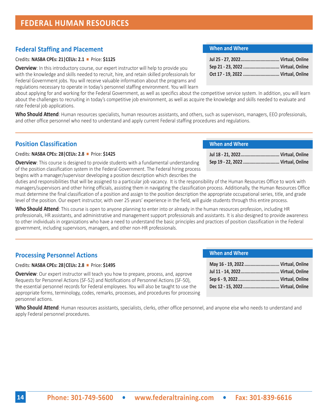## **Federal Staffing and Placement**

## Credits: **NASBA CPEs: 21|CEUs: 2.1** n Price: **\$1125**

**Overview**: In this introductory course, our expert instructor will help to provide you with the knowledge and skills needed to recruit, hire, and retain skilled professionals for Federal Government jobs. You will receive valuable information about the programs and regulations necessary to operate in today's personnel staffing environment. You will learn

about applying for and working for the Federal Government, as well as specifics about the competitive service system. In addition, you will learn about the challenges to recruiting in today's competitive job environment, as well as acquire the knowledge and skills needed to evaluate and rate Federal job applications.

**Who Should Attend**: Human resources specialists, human resources assistants, and others, such as supervisors, managers, EEO professionals, and other office personnel who need to understand and apply current Federal staffing procedures and regulations.

## **Position Classification**

## Credits: **NASBA CPEs: 28|CEUs: 2.8** n Price: **\$1425**

**Overview**: This course is designed to provide students with a fundamental understanding of the position classification system in the Federal Government. The Federal hiring process begins with a manager/supervisor developing a position description which describes the

duties and responsibilities that will be assigned to a particular job vacancy. It is the responsibility of the Human Resources Office to work with managers/supervisors and other hiring officials, assisting them in navigating the classification process. Additionally, the Human Resources Office must determine the final classification of a position and assign to the position description the appropriate occupational series, title, and grade level of the position. Our expert instructor, with over 25 years' experience in the field, will guide students through this entire process.

**Who Should Attend**: This course is open to anyone planning to enter into or already in the human resources profession, including HR professionals, HR assistants, and administrative and management support professionals and assistants. It is also designed to provide awareness to other individuals in organizations who have a need to understand the basic principles and practices of position classification in the Federal government, including supervisors, managers, and other non-HR professionals.

## **Processing Personnel Actions**

## Credits: **NASBA CPEs: 28|CEUs: 2.8** n Price: **\$1495**

**Overview**: Our expert instructor will teach you how to prepare, process, and, approve Requests for Personnel Actions (SF-52) and Notifications of Personnel Actions (SF-50), the essential personnel records for Federal employees. You will also be taught to use the appropriate forms, terminology, codes, remarks, processes, and procedures for processing personnel actions.

**Who Should Attend**: Human resources assistants, specialists, clerks, other office personnel, and anyone else who needs to understand and apply Federal personnel procedures.

| Sep 21 - 23, 2022  Virtual, Online |  |
|------------------------------------|--|
| Oct 17 - 19, 2022  Virtual, Online |  |
|                                    |  |

## **When and Where**

| May 16 - 19, 2022 Virtual, Online  |  |
|------------------------------------|--|
|                                    |  |
|                                    |  |
| Dec 12 - 15, 2022  Virtual, Online |  |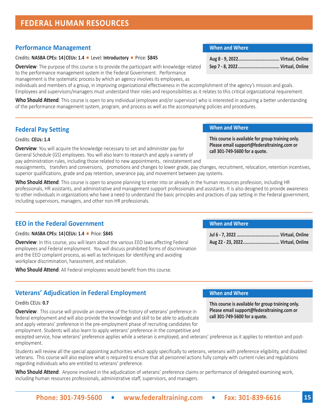Credits: **NASBA CPEs: 14|CEUs: 1.4** n Level: **Introductory** n Price: **\$845**

**Overview**: The purpose of this course is to provide the participant with knowledge related to the performance management system in the Federal Government. Performance

management is the systematic process by which an agency involves its employees, as

**FEDERAL HUMAN RESOURCES**

**Performance Management**

individuals and members of a group, in improving organizational effectiveness in the accomplishment of the agency's mission and goals. Employees and supervisors/managers must understand their roles and responsibilities as it relates to this critical organizational requirement.

**Who Should Attend**: This course is open to any individual (employee and/or supervisor) who is interested in acquiring a better understanding of the performance management system, program, and process as well as the accompanying policies and procedures.

## **Federal Pay Setting**

Credits: **CEUs: 1.4** 

**Overview:** You will acquire the knowledge necessary to set and administer pay for General Schedule (GS) employees. You will also learn to research and apply a variety of pay administration rules, including those related to new appointments, reinstatement and

reassignments, transfers and conversions, promotions and changes to lower grade, pay changes, recruitment, relocation, retention incentives, superior qualifications, grade and pay retention, severance pay, and movement between pay systems.

**Who Should Attend**: This course is open to anyone planning to enter into or already in the human resources profession, including HR professionals, HR assistants, and administrative and management support professionals and assistants. It is also designed to provide awareness to other individuals in organizations who have a need to understand the basic principles and practices of pay setting in the Federal government, including supervisors, managers, and other non-HR professionals.

## **EEO in the Federal Government**

Credits: **NASBA CPEs: 14 | CEUs: 1.4 | Price: \$845** 

**Overview**: In this course, you will learn about the various EEO laws affecting Federal employees and Federal employment. You will discuss prohibited forms of discrimination and the EEO complaint process, as well as techniques for identifying and avoiding workplace discrimination, harassment, and retaliation.

**Who Should Attend**: All Federal employees would benefit from this course.

## **Veterans' Adjudication in Federal Employment When and Where**

### Credits CEUs: **0.7**

**Overview**: This course will provide an overview of the history of veterans' preference in federal employment and will also provide the knowledge and skill to be able to adjudicate and apply veterans' preference in the pre-employment phase of recruiting candidates for employment. Students will also learn to apply veterans' preference in the competitive and

excepted service, how veterans' preference applies while a veteran is employed, and veterans' preference as it applies to retention and postemployment.

Students will review all the special appointing authorities which apply specifically to veterans, veterans with preference eligibility, and disabled veterans. This course will also explore what is required to ensure that all personnel actions fully comply with current rules and regulations regarding individuals who are entitled to veterans' preference.

**Who Should Attend**: Anyone involved in the adjudication of veterans' preference claims or performance of delegated examining work, including human resources professionals, administrative staff, supervisors, and managers.

#### **When and Where**

**When and Where**

#### **This course is available for group training only. Please email support@federaltraining.com or call 301-749-5600 for a quote.**

### **When and Where**

| Aug 22 - 23, 2022 Virtual, Online |  |
|-----------------------------------|--|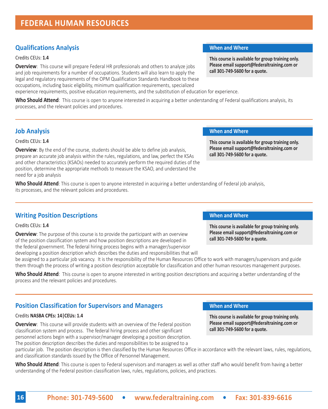## **Qualifications Analysis When and Where**

#### Credits CEUs: **1.4**

**Overview**: This course will prepare Federal HR professionals and others to analyze jobs and job requirements for a number of occupations. Students will also learn to apply the legal and regulatory requirements of the OPM Qualification Standards Handbook to these occupations, including basic eligibility, minimum qualification requirements, specialized

experience requirements, positive education requirements, and the substitution of education for experience.

**Who Should Attend**: This course is open to anyone interested in acquiring a better understanding of Federal qualifications analysis, its processes, and the relevant policies and procedures.

Credits CEUs: **1.4**

**Overview**: By the end of the course, students should be able to define job analysis, prepare an accurate job analysis within the rules, regulations, and law, perfect the KSAs and other characteristics (KSAOs) needed to accurately perform the required duties of the position, determine the appropriate methods to measure the KSAO, and understand the need for a job analysis

**Who Should Attend**: This course is open to anyone interested in acquiring a better understanding of Federal job analysis, its processes, and the relevant policies and procedures.

## **Writing Position Descriptions <b>Construction When and Where When and Where**

Credits CEUs: **1.4**

**Overview**: The purpose of this course is to provide the participant with an overview of the position classification system and how position descriptions are developed in the federal government. The federal hiring process begins with a manager/supervisor developing a position description which describes the duties and responsibilities that will

be assigned to a particular job vacancy. It is the responsibility of the Human Resources Office to work with managers/supervisors and guide them through the process of writing a position description acceptable for classification and other human resources management purposes.

**Who Should Attend**: This course is open to anyone interested in writing position descriptions and acquiring a better understanding of the process and the relevant policies and procedures.

## **Position Classification for Supervisors and Managers <b>When and Where**

### Credits **NASBA CPEs: 14|CEUs: 1.4**

**Overview**: This course will provide students with an overview of the Federal position classification system and process. The federal hiring process and other significant personnel actions begin with a supervisor/manager developing a position description. The position description describes the duties and responsibilities to be assigned to a

particular job. The position description is then classified by the Human Resources Office in accordance with the relevant laws, rules, regulations, and classification standards issued by the Office of Personnel Management.

**Who Should Attend**: This course is open to Federal supervisors and managers as well as other staff who would benefit from having a better understanding of the Federal position classification laws, rules, regulations, policies, and practices.

**This course is available for group training only. Please email support@federaltraining.com or call 301-749-5600 for a quote.**

#### **Job Analysis When and Where**

**This course is available for group training only. Please email support@federaltraining.com or call 301-749-5600 for a quote.**

**This course is available for group training only. Please email support@federaltraining.com or call 301-749-5600 for a quote.**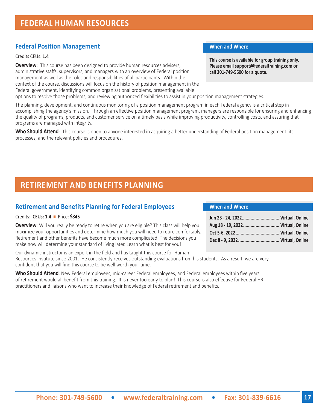## **Federal Position Management When and Where When and Where**

### Credits CEUs: **1.4**

**Overview**: This course has been designed to provide human resources advisers, administrative staffs, supervisors, and managers with an overview of Federal position management as well as the roles and responsibilities of all participants. Within the context of the course, discussions will focus on the history of position management in the Federal government, identifying common organizational problems, presenting available options to resolve those problems, and reviewing authorized flexibilities to assist in your position management strategies.

**This course is available for group training only. Please email support@federaltraining.com or call 301-749-5600 for a quote.**

The planning, development, and continuous monitoring of a position management program in each Federal agency is a critical step in accomplishing the agency's mission. Through an effective position management program, managers are responsible for ensuring and enhancing the quality of programs, products, and customer service on a timely basis while improving productivity, controlling costs, and assuring that programs are managed with integrity.

**Who Should Attend**: This course is open to anyone interested in acquiring a better understanding of Federal position management, its processes, and the relevant policies and procedures.

## **RETIREMENT AND BENEFITS PLANNING**

## **Retirement and Benefits Planning for Federal Employees**

### Credits: **CEUs: 1.4** n Price: **\$845**

**Overview**: Will you really be ready to retire when you are eligible? This class will help you maximize your opportunities and determine how much you will need to retire comfortably. Retirement and other benefits have become much more complicated. The decisions you make now will determine your standard of living later. Learn what is best for you!

Our dynamic instructor is an expert in the field and has taught this course for Human Resources Institute since 2001. He consistently receives outstanding evaluations from his students. As a result, we are very confident that you will find this course to be well worth your time.

**Who Should Attend**: New Federal employees, mid-career Federal employees, and Federal employees within five years of retirement would all benefit from this training. It is never too early to plan! This course is also effective for Federal HR practitioners and liaisons who want to increase their knowledge of Federal retirement and benefits.

| Jun 23 - 24, 2022 Virtual, Online |
|-----------------------------------|
| Aug 18 - 19, 2022 Virtual, Online |
|                                   |
|                                   |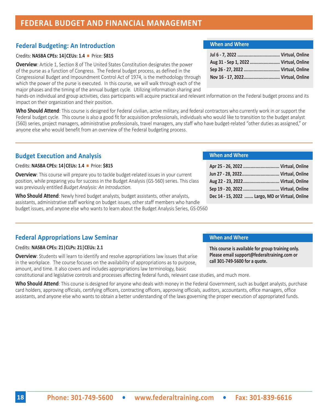# **18 Phone: 301-749-5600 • [www.federaltraining.com](http://www.federaltraining.com) • Fax: 301-839-6616**

## **FEDERAL BUDGET AND FINANCIAL MANAGEMENT**

## **Federal Budgeting: An Introduction**

## Credits: **NASBA CPEs: 14 | CEUs: 1.4 | Price: \$815**

**Overview**: Article 1, Section 8 of The United States Constitution designates the power of the purse as a function of Congress. The Federal budget process, as defined in the Congressional Budget and Impoundment Control Act of 1974, is the methodology through which the power of the purse is executed. In this course, we will walk through each of the major phases and the timing of the annual budget cycle. Utilizing information sharing and

hands-on individual and group activities, class participants will acquire practical and relevant information on the Federal budget process and its impact on their organization and their position.

**Who Should Attend**: This course is designed for Federal civilian, active military, and federal contractors who currently work in or support the Federal budget cycle. This course is also a good fit for acquisition professionals, individuals who would like to transition to the budget analyst (560) series, project managers, administrative professionals, travel managers, any staff who have budget-related "other duties as assigned," or anyone else who would benefit from an overview of the Federal budgeting process.

## **Budget Execution and Analysis**

## Credits: **NASBA CPEs: 14|CEUs: 1.4** n Price: **\$815**

**Overview**: This course will prepare you to tackle budget-related issues in your current position, while preparing you for success in the Budget Analysis (GS-560) series. This class was previously entitled *Budget Analysis: An Introduction*.

**Who Should Attend**: Newly hired budget analysts, budget assistants, other analysts, assistants, administrative staff working on budget issues, other staff members who handle budget issues, and anyone else who wants to learn about the Budget Analysis Series, GS-0560

## **Federal Appropriations Law Seminar**

## Credits: **NASBA CPEs: 21|CLPs: 21|CEUs: 2.1**

**Overview**: Students will learn to identify and resolve appropriations law issues that arise in the workplace. The course focuses on the availability of appropriations as to purpose, amount, and time. It also covers and includes appropriations law terminology, basic

constitutional and legislative controls and processes affecting federal funds, relevant case studies, and much more.

Who Should Attend: This course is designed for anyone who deals with money in the Federal Government, such as budget analysts, purchase card holders, approving officials, certifying officers, contracting officers, approving officials, auditors, accountants, office managers, office assistants, and anyone else who wants to obtain a better understanding of the laws governing the proper execution of appropriated funds.

## **When and Where**

**When and Where**

**call 301-749-5600 for a quote.**

**When and Where**

| Apr 25 - 26, 2022  Virtual, Online              |
|-------------------------------------------------|
| Jun 27 - 28, 2022 Virtual, Online               |
| Aug 22 - 23, 2022 Virtual, Online               |
|                                                 |
| Dec 14 - 15, 2022  Largo, MD or Virtual, Online |

**This course is available for group training only. Please email support@federaltraining.com or** 

## **Jul 6 - 7, 2022 .................................. Virtual, Online Aug 31 - Sep 1, 2022 ........................ Virtual, Online Sep 26 - 27, 2022 ............................. Virtual, Online Nov 16 - 17, 2022............................. Virtual, Online**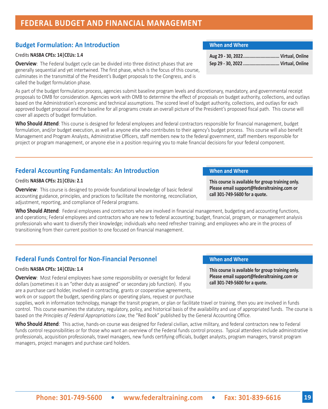## **FEDERAL BUDGET AND FINANCIAL MANAGEMENT**

## **Budget Formulation: An Introduction When and Where When and Where**

#### Credits **NASBA CPEs: 14|CEUs: 1.4**

**Overview**: The Federal budget cycle can be divided into three distinct phases that are generally sequential and yet intertwined. The first phase, which is the focus of this course, culminates in the transmittal of the President's Budget proposals to the Congress, and is called the budget formulation phase.

As part of the budget formulation process, agencies submit baseline program levels and discretionary, mandatory, and governmental receipt proposals to OMB for consideration. Agencies work with OMB to determine the effect of proposals on budget authority, collections, and outlays based on the Administration's economic and technical assumptions. The scored level of budget authority, collections, and outlays for each approved budget proposal and the baseline for all programs create an overall picture of the President's proposed fiscal path. This course will cover all aspects of budget formulation.

**Who Should Attend**: This course is designed for federal employees and federal contractors responsible for financial management, budget formulation, and/or budget execution, as well as anyone else who contributes to their agency's budget process. This course will also benefit Management and Program Analysts, Administrative Officers, staff members new to the federal government, staff members responsible for project or program management, or anyone else in a position requiring you to make financial decisions for your federal component.

## **Federal Accounting Fundamentals: An Introduction <b>When and Where**

#### Credits **NASBA CPEs: 21|CEUs: 2.1**

**Overview**: This course is designed to provide foundational knowledge of basic federal accounting guidance, principles, and practices to facilitate the monitoring, reconciliation, adjustment, reporting, and compliance of Federal programs.

**Who Should Attend**: Federal employees and contractors who are involved in financial management, budgeting and accounting functions, and operations; Federal employees and contractors who are new to federal accounting; budget, financial, program, or management analysis professionals who want to diversify their knowledge; individuals who need refresher training; and employees who are in the process of transitioning from their current position to one focused on financial management.

## **Federal Funds Control for Non-Financial Personnel When and Where**

### Credits **NASBA CPEs: 14|CEUs: 1.4**

**Overview**: Most Federal employees have some responsibility or oversight for federal dollars (sometimes it is an "other duty as assigned" or secondary job function). If you are a purchase card holder, involved in contracting, grants or cooperative agreements, work on or support the budget, spending plans or operating plans, request or purchase

supplies, work in information technology, manage the transit program, or plan or facilitate travel or training, then you are involved in funds control. This course examines the statutory, regulatory, policy, and historical basis of the availability and use of appropriated funds. The course is based on the *Principles of Federal Appropriations Law*, the "Red Book" published by the General Accounting Office.

**Who Should Attend**: This active, hands-on course was designed for Federal civilian, active military, and federal contractors new to Federal funds control responsibilities or for those who want an overview of the Federal funds control process. Typical attendees include administrative professionals, acquisition professionals, travel managers, new funds certifying officials, budget analysts, program managers, transit program managers, project managers and purchase card holders.

| Aug 29 - 30, 2022 Virtual, Online  |  |
|------------------------------------|--|
| Sep 29 - 30, 2022  Virtual, Online |  |

**This course is available for group training only. Please email support@federaltraining.com or call 301-749-5600 for a quote.**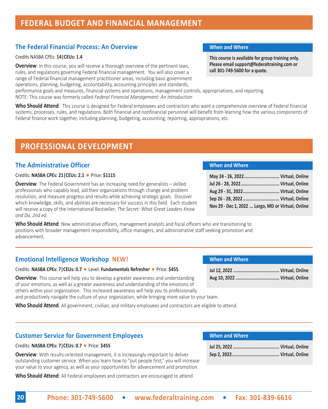## **FEDERAL BUDGET AND FINANCIAL MANAGEMENT**

## **The Federal Financial Process: An Overview When and Where**

## Credits NASBA CPEs: **14|CEUs: 1.4**

**Overview**: In this course, you will receive a thorough overview of the pertinent laws, rules, and regulations governing Federal financial management. You will also cover a range of Federal financial management practitioner areas, including basic government operations, planning, budgeting, accountability, accounting principles and standards,

performance goals and measures, financial systems and operations, management controls, appropriations, and reporting. NOTE: This course was formerly called *Federal Financial Management: An Introduction*

**Who Should Attend**: This course is designed for Federal employees and contractors who want a comprehensive overview of Federal financial systems, processes, rules, and regulations. Both financial and nonfinancial personnel will benefit from learning how the various components of Federal finance work together, including planning, budgeting, accounting, reporting, appropriations, etc.

## **PROFESSIONAL DEVELOPMENT**

## **The Administrative Officer**

## Credits: **NASBA CPEs: 21|CEUs: 2.1** n Price: **\$1115**

**Overview**: The Federal Government has an increasing need for generalists – skilled professionals who capably lead, aid their organizations through change and problem resolution, and measure progress and results while achieving strategic goals. Discover which knowledge, skills, and abilities are necessary for success in this field. Each student will receive a copy of the International Bestseller*, The Secret: What Great Leaders Know and Do, 2nd ed.*

**Who Should Attend**: New administrative officers, management analysts and fiscal officers who are transitioning to positions with broader management responsibility, office managers, and administrative staff seeking promotion and advancement.

## **Emotional Intelligence Workshop NEW!**

Credits: **NASBA CPEs: 7|CEUs: 0.7** n Level: **Fundamentals Refresher** n Price: **\$455**

**Overview**: This course will help you to develop a greater awareness and understanding of your emotions, as well as a greater awareness and understanding of the emotions of others within your organization. This increased awareness will help you to professionally and productively navigate the culture of your organization, while bringing more value to your team.

**Who Should Attend**: All government, civilian, and military employees and contractors are eligible to attend.

**This course is available for group training only. Please email support@federaltraining.com or call 301-749-5600 for a quote.**

#### **When and Where**

| May 24 - 26, 2022  Virtual, Online                 |  |
|----------------------------------------------------|--|
|                                                    |  |
| Aug 29 - 31, 2022 Virtual, Online                  |  |
| Sep 26 - 28, 2022  Virtual, Online                 |  |
| Nov 29 - Dec 1, 2022  Largo, MD or Virtual, Online |  |

## **When and Where**

## **Customer Service for Government Employees**

#### Credits: **NASBA CPEs: 7|CEUs: 0.7** n Price: **\$455**

**Overview**: With results-oriented management, it is increasingly important to deliver outstanding customer service. When you learn how to "put people first," you will increase your value to your agency, as well as your opportunities for advancement and promotion.

**Who Should Attend**: All Federal employees and contractors are encouraged to attend.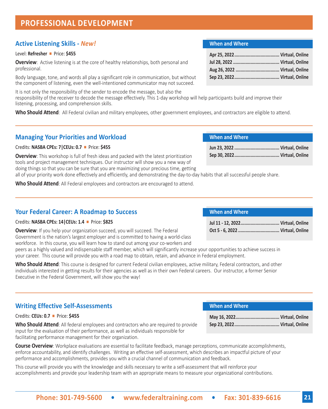## **PROFESSIONAL DEVELOPMENT**

## **Active Listening Skills -** *New!*

## Level: **Refresher** n Price: **\$455**

**Overview**: Active listening is at the core of healthy relationships, both personal and professional.

Body language, tone, and words all play a significant role in communication, but without the component of listening, even the well-intentioned communicator may not succeed.

It is not only the responsibility of the sender to encode the message, but also the responsibility of the receiver to decode the message effectively. This 1-day workshop will help participants build and improve their listening, processing, and comprehension skills.

**Who Should Attend**: All Federal civilian and military employees, other government employees, and contractors are eligible to attend.

## **Managing Your Priorities and Workload**

### Credits: **NASBA CPEs: 7|CEUs: 0.7** n Price: **\$455**

**Overview**: This workshop is full of fresh ideas and packed with the latest prioritization tools and project management techniques. Our instructor will show you a new way of doing things so that you can be sure that you are maximizing your precious time, getting

all of your priority work done effectively and efficiently, and demonstrating the day-to-day habits that all successful people share.

**Who Should Attend**: All Federal employees and contractors are encouraged to attend.

## **Your Federal Career: A Roadmap to Success**

## Credits: **NASBA CPEs: 14|CEUs: 1.4** n Price: **\$825**

**Overview**: If you help your organization succeed, you will succeed. The Federal Government is the nation's largest employer and is committed to having a world-class workforce. In this course, you will learn how to stand out among your co-workers and

peers as a highly valued and indispensable staff member, which will significantly increase your opportunities to achieve success in your career. This course will provide you with a road map to obtain, retain, and advance in Federal employment.

**Who Should Attend**: This course is designed for current Federal civilian employees, active military, Federal contractors, and other individuals interested in getting results for their agencies as well as in their own Federal careers. Our instructor, a former Senior Executive in the Federal Government, will show you the way!

## **Writing Effective Self-Assessments**

## Credits: **CEUs: 0.7** n Price: **\$455**

**Who Should Attend**: All federal employees and contractors who are required to provide input for the evaluation of their performance, as well as individuals responsible for facilitating performance management for their organization.

**Course Overview**: Workplace evaluations are essential to facilitate feedback, manage perceptions, communicate accomplishments, enforce accountability, and identify challenges. Writing an effective self-assessment, which describes an impactful picture of your performance and accomplishments, provides you with a crucial channel of communication and feedback.

This course will provide you with the knowledge and skills necessary to write a self-assessment that will reinforce your accomplishments and provide your leadership team with an appropriate means to measure your organizational contributions.

## **When and Where**

## **When and Where**

## **When and Where**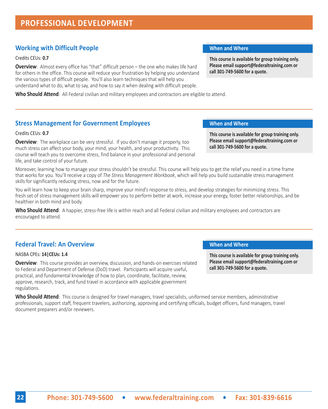## **Working with Difficult People When and Where When and Where**

### Credits CEUs: **0.7**

**Overview**: Almost every office has "that" difficult person – the one who makes life hard for others in the office. This course will reduce your frustration by helping you understand the various types of difficult people. You'll also learn techniques that will help you understand what to do, what to say, and how to say it when dealing with difficult people.

**Who Should Attend**: All Federal civilian and military employees and contractors are eligible to attend.

## **Stress Management for Government Employees <b>When and Where When and Where**

#### Credits CEUs: **0.7**

**Overview**: The workplace can be very stressful. If you don't manage it properly, too much stress can affect your body, your mind, your health, and your productivity. This course will teach you to overcome stress, find balance in your professional and personal life, and take control of your future.

Moreover, learning how to manage your stress shouldn't be stressful. This course will help you to get the relief you need in a time frame that works for you. You'll receive a copy of *The Stress Management Workbook*, which will help you build sustainable stress management skills for significantly reducing stress, now and for the future.

You will learn how to keep your brain sharp, improve your mind's response to stress, and develop strategies for minimizing stress. This fresh set of stress management skills will empower you to perform better at work, increase your energy, foster better relationships, and be healthier in both mind and body.

**Who Should Attend**: A happier, stress-free life is within reach and all Federal civilian and military employees and contractors are encouraged to attend.

## **Federal Travel: An Overview <b>When** and When and Where

#### NASBA CPEs: **14|CEUs: 1.4**

**Overview**: This course provides an overview, discussion, and hands-on exercises related to Federal and Department of Defense (DoD) travel. Participants will acquire useful, practical, and fundamental knowledge of how to plan, coordinate, facilitate, review, approve, research, track, and fund travel in accordance with applicable government regulations.

**Who Should Attend**: This course is designed for travel managers, travel specialists, uniformed service members, administrative professionals, support staff, frequent travelers, authorizing, approving and certifying officials, budget officers, fund managers, travel document preparers and/or reviewers.

**This course is available for group training only. Please email support@federaltraining.com or call 301-749-5600 for a quote.**

**This course is available for group training only. Please email support@federaltraining.com or call 301-749-5600 for a quote.**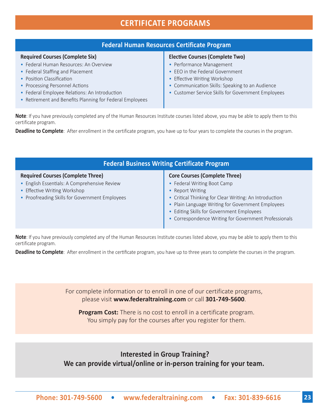## **CERTIFICATE PROGRAMS**

## **Federal Human Resources Certificate Program**

#### **Required Courses (Complete Six)**

- Federal Human Resources: An Overview
- Federal Staffing and Placement
- Position Classification
- Processing Personnel Actions
- Federal Employee Relations: An Introduction
- Retirement and Benefits Planning for Federal Employees

#### **Elective Courses (Complete Two)**

- Performance Management
- EEO in the Federal Government
- Effective Writing Workshop
- Communication Skills: Speaking to an Audience
- Customer Service Skills for Government Employees

**Note**: If you have previously completed any of the Human Resources Institute courses listed above, you may be able to apply them to this certificate program.

**Deadline to Complete**: After enrollment in the certificate program, you have up to four years to complete the courses in the program.

| <b>Federal Business Writing Certificate Program</b>                                                                                                                        |                                                                                                                                                                                                                                                                                                              |  |
|----------------------------------------------------------------------------------------------------------------------------------------------------------------------------|--------------------------------------------------------------------------------------------------------------------------------------------------------------------------------------------------------------------------------------------------------------------------------------------------------------|--|
| <b>Required Courses (Complete Three)</b><br>• English Essentials: A Comprehensive Review<br>• Effective Writing Workshop<br>• Proofreading Skills for Government Employees | <b>Core Courses (Complete Three)</b><br>• Federal Writing Boot Camp<br>• Report Writing<br>• Critical Thinking for Clear Writing: An Introduction<br>• Plain Language Writing for Government Employees<br>• Editing Skills for Government Employees<br>• Correspondence Writing for Government Professionals |  |

**Note**: If you have previously completed any of the Human Resources Institute courses listed above, you may be able to apply them to this certificate program.

**Deadline to Complete**: After enrollment in the certificate program, you have up to three years to complete the courses in the program.

For complete information or to enroll in one of our certificate programs, please visit **[www.federaltraining.com](http://www.federaltraining.com)** or call **301-749-5600**.

**Program Cost:** There is no cost to enroll in a certificate program. You simply pay for the courses after you register for them.

 **Interested in Group Training? We can provide virtual/online or in-person training for your team.**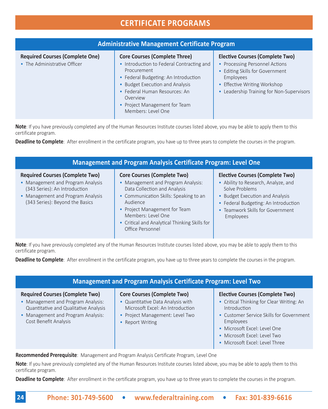## **CERTIFICATE PROGRAMS**

| <b>Administrative Management Certificate Program</b>                   |                                                                                                                                                                                                                                                                                 |                                                                                                                                                                                                       |  |  |  |
|------------------------------------------------------------------------|---------------------------------------------------------------------------------------------------------------------------------------------------------------------------------------------------------------------------------------------------------------------------------|-------------------------------------------------------------------------------------------------------------------------------------------------------------------------------------------------------|--|--|--|
| <b>Required Courses (Complete One)</b><br>• The Administrative Officer | <b>Core Courses (Complete Three)</b><br>• Introduction to Federal Contracting and<br>Procurement<br>• Federal Budgeting: An Introduction<br>• Budget Execution and Analysis<br>• Federal Human Resources: An<br>Overview<br>• Project Management for Team<br>Members: Level One | <b>Elective Courses (Complete Two)</b><br>• Processing Personnel Actions<br>• Editing Skills for Government<br>Employees<br>• Effective Writing Workshop<br>• Leadership Training for Non-Supervisors |  |  |  |

**Note**: If you have previously completed any of the Human Resources Institute courses listed above, you may be able to apply them to this certificate program.

**Deadline to Complete**: After enrollment in the certificate program, you have up to three years to complete the courses in the program.

| <b>Management and Program Analysis Certificate Program: Level One</b>                                                                                                                |                                                                                                                                                                                                                                                                                          |                                                                                                                                                                                                                             |  |  |  |
|--------------------------------------------------------------------------------------------------------------------------------------------------------------------------------------|------------------------------------------------------------------------------------------------------------------------------------------------------------------------------------------------------------------------------------------------------------------------------------------|-----------------------------------------------------------------------------------------------------------------------------------------------------------------------------------------------------------------------------|--|--|--|
| <b>Required Courses (Complete Two)</b><br>• Management and Program Analysis<br>(343 Series): An Introduction<br>• Management and Program Analysis<br>(343 Series): Beyond the Basics | <b>Core Courses (Complete Two)</b><br>Management and Program Analysis:<br>Data Collection and Analysis<br>• Communication Skills: Speaking to an<br>Audience<br>• Project Management for Team<br>Members: Level One<br>• Critical and Analytical Thinking Skills for<br>Office Personnel | <b>Elective Courses (Complete Two)</b><br>• Ability to Research, Analyze, and<br>Solve Problems<br>• Budget Execution and Analysis<br>• Federal Budgeting: An Introduction<br>• Teamwork Skills for Government<br>Employees |  |  |  |

**Note**: If you have previously completed any of the Human Resources Institute courses listed above, you may be able to apply them to this certificate program.

**Deadline to Complete**: After enrollment in the certificate program, you have up to three years to complete the courses in the program.

|                             | <b>Management and Program Analysis Certificate Program: Level Two</b> |                                                                                                                                                                                                                                                                                                                                    |
|-----------------------------|-----------------------------------------------------------------------|------------------------------------------------------------------------------------------------------------------------------------------------------------------------------------------------------------------------------------------------------------------------------------------------------------------------------------|
| $\sim$ $\sim$ $\sim$ $\sim$ | $\sim$ $\sim$ $\sim$ $\sim$ $\sim$                                    | $\mathbf{r}$ $\mathbf{r}$ $\mathbf{r}$ $\mathbf{r}$ $\mathbf{r}$ $\mathbf{r}$ $\mathbf{r}$ $\mathbf{r}$ $\mathbf{r}$ $\mathbf{r}$ $\mathbf{r}$ $\mathbf{r}$ $\mathbf{r}$ $\mathbf{r}$ $\mathbf{r}$ $\mathbf{r}$ $\mathbf{r}$ $\mathbf{r}$ $\mathbf{r}$ $\mathbf{r}$ $\mathbf{r}$ $\mathbf{r}$ $\mathbf{r}$ $\mathbf{r}$ $\mathbf{$ |

## **Required Courses (Complete Two)**

- Management and Program Analysis: Quantitative and Qualitative Analysis
- Management and Program Analysis: Cost Benefit Analysis
- **Core Courses (Complete Two)**
- Quantitative Data Analysis with Microsoft Excel: An Introduction
- Project Management: Level Two
- Report Writing

## **Elective Courses (Complete Two)**

- Critical Thinking for Clear Writing: An Introduction
- Customer Service Skills for Government Employees
- Microsoft Excel: Level One
- Microsoft Excel: Level Two
- Microsoft Excel: Level Three

**Recommended Prerequisite**: Management and Program Analysis Certificate Program, Level One

**Note**: If you have previously completed any of the Human Resources Institute courses listed above, you may be able to apply them to this certificate program.

**Deadline to Complete**: After enrollment in the certificate program, you have up to three years to complete the courses in the program.